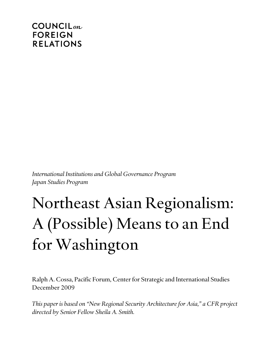# $COUNTLL_{on}$ **FOREIGN RELATIONS**

*International Institutions and Global Governance Program Japan Studies Program*

# Northeast Asian Regionalism: A (Possible) Means to an End for Washington

Ralph A. Cossa, Pacific Forum, Center for Strategic and International Studies December 2009

*This paper is based on "New Regional Security Architecture for Asia," a CFR project directed by Senior Fellow Sheila A. Smith.*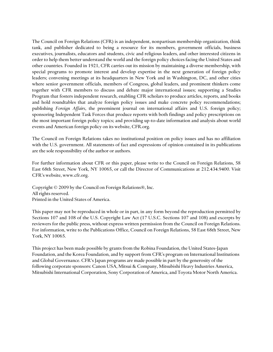The Council on Foreign Relations (CFR) is an independent, nonpartisan membership organization, think tank, and publisher dedicated to being a resource for its members, government officials, business executives, journalists, educators and students, civic and religious leaders, and other interested citizens in order to help them better understand the world and the foreign policy choices facing the United States and other countries. Founded in 1921, CFR carries out its mission by maintaining a diverse membership, with special programs to promote interest and develop expertise in the next generation of foreign policy leaders; convening meetings at its headquarters in New York and in Washington, DC, and other cities where senior government officials, members of Congress, global leaders, and prominent thinkers come together with CFR members to discuss and debate major international issues; supporting a Studies Program that fosters independent research, enabling CFR scholars to produce articles, reports, and books and hold roundtables that analyze foreign policy issues and make concrete policy recommendations; publishing *Foreign Affairs*, the preeminent journal on international affairs and U.S. foreign policy; sponsoring Independent Task Forces that produce reports with both findings and policy prescriptions on the most important foreign policy topics; and providing up-to-date information and analysis about world events and American foreign policy on its website, CFR.org.

The Council on Foreign Relations takes no institutional position on policy issues and has no affiliation with the U.S. government. All statements of fact and expressions of opinion contained in its publications are the sole responsibility of the author or authors.

For further information about CFR or this paper, please write to the Council on Foreign Relations, 58 East 68th Street, New York, NY 10065, or call the Director of Communications at 212.434.9400. Visit CFR's website, www.cfr.org.

Copyright © 2009 by the Council on Foreign Relations®, Inc. All rights reserved. Printed in the United States of America.

This paper may not be reproduced in whole or in part, in any form beyond the reproduction permitted by Sections 107 and 108 of the U.S. Copyright Law Act (17 U.S.C. Sections 107 and 108) and excerpts by reviewers for the public press, without express written permission from the Council on Foreign Relations. For information, write to the Publications Office, Council on Foreign Relations, 58 East 68th Street, New York, NY 10065.

This project has been made possible by grants from the Robina Foundation, the United States-Japan Foundation, and the Korea Foundation, and by support from CFR's program on International Institutions and Global Governance. CFR's Japan programs are made possible in part by the generosity of the following corporate sponsors: Canon USA, Mitsui & Company, Mitsubishi Heavy Industries America, Mitsubishi International Corporation, Sony Corporation of America, and Toyota Motor North America.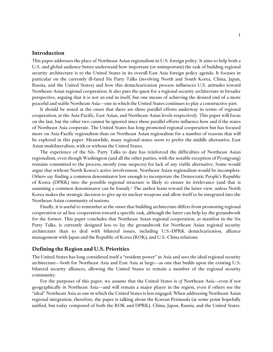#### **Introduction**

This paper addresses the place of Northeast Asian regionalism in U.S. foreign policy. It aims to help both a U.S. and global audience better understand how important (or unimportant) the task of building regional security architecture is to the United States in its overall East Asia foreign policy agenda. It focuses in particular on the currently ill-fated Six Party Talks (involving North and South Korea, China, Japan, Russia, and the United States) and how this denuclearization process influences U.S. attitudes toward Northeast Asian regional cooperation. It also puts the quest for a regional security architecture in broader perspective, arguing that it is not an end in itself, but one means of achieving the desired end of a more peaceful and stable Northeast Asia—one in which the United States continues to play a constructive part.

It should be noted at the onset that there are three parallel efforts underway in terms of regional cooperation, at the Asia-Pacific, East Asian, and Northeast Asian levels respectively. This paper will focus on the last, but the other two cannot be ignored since these parallel efforts influence how and if the states of Northeast Asia cooperate. The United States has long promoted regional cooperation but has focused more on Asia-Pacific regionalism than on Northeast Asian regionalism for a number of reasons that will be explored in this paper. Meanwhile, many regional states seem to prefer the middle alternative, East Asian multilateralism, with or without the United States.

The experience of the Six- Party Talks to date has reinforced the difficulties of Northeast Asian regionalism, even though Washington (and all the other parties, with the notable exception of Pyongyang) remains committed to the process, mostly (one suspects) for lack of any viable alternative. Some would argue that without North Korea's active involvement, Northeast Asian regionalism would be incomplete. Others say finding a common denominator low enough to incorporate the Democratic People's Republic of Korea (DPRK) into the possible regional structure is likely to ensure its irrelevance (and that is assuming a common denominator can be found).<sup>1</sup> The author leans toward the latter view, unless North Korea makes the strategic decision to give up its nuclear weapons and allow itself to be integrated into the Northeast Asian community of nations.

Finally, it is useful to remember at the onset that building architecture differs from promoting regional cooperation or ad hoc cooperation toward a specific task, although the latter can help lay the groundwork for the former. This paper concludes that Northeast Asian regional cooperation, as manifest in the Six Party Talks, is currently designed less to lay the groundwork for Northeast Asian regional security architecture than to deal with bilateral issues, including U.S.-DPRK denuclearization, alliance management with Japan and the Republic of Korea (ROK), and U.S.-China relations.

# **Defining the Region and U.S. Priorities**

The United States has long considered itself a "resident power" in Asia and sees the ideal regional security architecture—both for Northeast Asia and East Asia at large—as one that builds upon the existing U.S. bilateral security alliances, allowing the United States to remain a member of the regional security community.

For the purposes of this paper, we assume that the United States is *of* Northeast Asia—even if not geographically *in* Northeast Asia—and will remain a major player in the region, even if others see the ―ideal‖ Northeast Asia as one in which the United States is less engaged. When addressing Northeast Asian regional integration, therefore, the paper is talking about the Korean Peninsula (at some point hopefully unified, but today composed of both the ROK and DPRK), China, Japan, Russia, and the United States.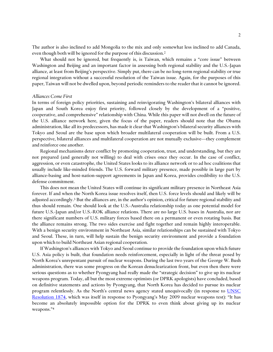The author is also inclined to add Mongolia to the mix and only somewhat less inclined to add Canada, even though both will be ignored for the purpose of this discussion.<sup>2</sup>

What should not be ignored, but frequently is, is Taiwan, which remains a "core issue" between Washington and Beijing and an important factor in assessing both regional stability and the U.S.-Japan alliance, at least from Beijing's perspective. Simply put, there can be no long-term regional stability or true regional integration without a successful resolution of the Taiwan issue. Again, for the purposes of this paper, Taiwan will not be dwelled upon, beyond periodic reminders to the reader that it cannot be ignored.

#### *Alliances Come First*

In terms of foreign policy priorities, sustaining and reinvigorating Washington's bilateral alliances with Japan and South Korea enjoy first priority, followed closely by the development of a "positive, cooperative, and comprehensive" relationship with China. While this paper will not dwell on the future of the U.S. alliance network here, given the focus of the paper, readers should note that the Obama administration, like all its predecessors, has made it clear that Washington's bilateral security alliances with Tokyo and Seoul are the base upon which broader multilateral cooperation will be built. From a U.S. perspective, bilateral alliances and multilateral cooperation are not mutually exclusive—they complement and reinforce one another.

Regional mechanisms deter conflict by promoting cooperation, trust, and understanding, but they are not prepared (and generally not willing) to deal with crises once they occur. In the case of conflict, aggression, or even catastrophe, the United States looks to its alliance network or to ad hoc coalitions that usually include like-minded friends. The U.S. forward military presence, made possible in large part by alliance-basing and host-nation-support agreements in Japan and Korea, provides credibility to the U.S. defense commitment.

This does not mean the United States will continue its significant military presence in Northeast Asia forever. If and when the North Korea issue resolves itself, then U.S. force levels should and likely will be adjusted accordingly. <sup>3</sup> But the alliances are, in the author's opinion, critical for future regional stability and thus should remain. One should look at the U.S.-Australia relationship today as one potential model for future U.S.-Japan and/or U.S.-ROK alliance relations. There are no large U.S. bases in Australia, nor are there significant numbers of U.S. military forces based there on a permanent or even rotating basis. But the alliance remains strong. The two sides exercise and fight together and remain highly interoperable. With a benign security environment in Northeast Asia, similar relationships can be sustained with Tokyo and Seoul. These, in turn, will help sustain the benign security environment and provide a foundation upon which to build Northeast Asian regional cooperation.

If Washington's alliances with Tokyo and Seoul continue to provide the foundation upon which future U.S. Asia policy is built, that foundation needs reinforcement, especially in light of the threat posed by North Korea's unrepentant pursuit of nuclear weapons. During the last two years of the George W. Bush administration, there was some progress on the Korean denuclearization front, but even then there were serious questions as to whether Pyongyang had really made the "strategic decision" to give up its nuclear weapons program. Today, all but the most extreme optimists (or DPRK apologists) have concluded, based on definitive statements and actions by Pyongyang, that North Korea has decided to pursue its nuclear program relentlessly. As the North's central news agency stated unequivocally (in response to [UNSC](http://www.cfr.org/publication/19625/)  [Resolution 1874](http://www.cfr.org/publication/19625/), which was itself in response to Pyongyang's May 2009 nuclear weapons test): "It has become an absolutely impossible option for the DPRK to even think about giving up its nuclear weapons."4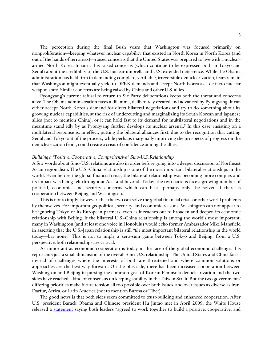The perception during the final Bush years that Washington was focused primarily on nonproliferation—keeping whatever nuclear capability that existed in North Korea in North Korea (and out of the hands of terrorists)—raised concerns that the United States was prepared to live with a nucleararmed North Korea. In turn, this raised concerns (which continue to be expressed both in Tokyo and Seoul) about the credibility of the U.S. nuclear umbrella and U.S. extended deterrence. While the Obama administration has held firm in demanding complete, verifiable, irreversible denuclearization, fears remain that Washington might eventually yield to DPRK demands and accept North Korea as a de facto nuclear weapon state. Similar concerns are being raised by China and other U.S. allies.

Pyongyang's current refusal to return to Six Party deliberations keeps both the threat and concerns alive. The Obama administration faces a dilemma, deliberately created and advanced by Pyongyang. It can either accept North Korea's demand for direct bilateral negotiations and try to do something about its growing nuclear capabilities, at the risk of undercutting and marginalizing its South Korean and Japanese allies (not to mention China), or it can hold fast to its demand for multilateral negotiations and in the meantime stand idly by as Pyongyang further develops its nuclear arsenal. <sup>5</sup> In this case, insisting on a multilateral response is, in effect, putting the bilateral alliances first, due to the recognition that cutting Seoul and Tokyo out of the process, while perhaps marginally improving the prospects of progress on the denuclearization front, could create a crisis of confidence among the allies.

#### *Building a "Positive, Cooperative, Comprehensive" Sino-U.S. Relationship*

A few words about Sino-U.S. relations are also in order before going into a deeper discussion of Northeast Asian regionalism. The U.S.-China relationship is one of the most important bilateral relationships in the world. Even before the global financial crisis, the bilateral relationship was becoming more complex and its impact was being felt throughout Asia and beyond. Today, the two nations face a growing number of political, economic, and security concerns which can best—perhaps only—be solved if there is cooperation between Beijing and Washington.

This is not to imply, however, that the two can solve the global financial crisis or other world problems by themselves. For important geopolitical, security, and economic reasons, Washington can not appear to be ignoring Tokyo or its European partners, even as it reaches out to broaden and deepen its economic relationship with Beijing. If the bilateral U.S.-China relationship is among the world's most important, many in Washington (and at least one voice in Honolulu) would echo former Ambassador Mike Mansfield in asserting that the U.S.-Japan relationship is still *"the* most important bilateral relationship in the world today—bar none." This is not to imply a zero-sum game between Tokyo and Beijing; from a U.S. perspective, both relationships are critical.

As important as economic cooperation is today in the face of the global economic challenge, this represents just a small dimension of the overall Sino-U.S. relationship. The United States and China face a myriad of challenges where the interests of both are threatened and where common solutions or approaches are the best way forward. On the plus side, there has been increased cooperation between Washington and Beijing in pursing the common goal of Korean Peninsula denuclearization and the two sides have reached a kind of consensus on keeping stability in the Taiwan Strait. But the two governments' differing priorities make future tension all too possible over both issues, and over issues as diverse as Iran, Darfur, Africa, or Latin America (not to mention Burma or Tibet).

The good news is that both sides seem committed to trust-building and enhanced cooperation. After U.S. president Barack Obama and Chinese president Hu Jintao met in April 2009, the White House released a [statement](http://www.whitehouse.gov/the_press_office/Statement-On-Bilateral-Meeting-With-President-Hu-Of-China/) saying both leaders "agreed to work together to build a positive, cooperative, and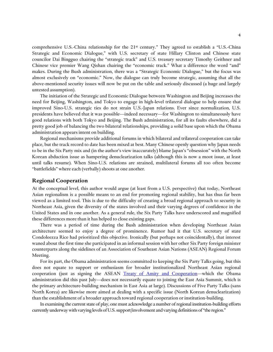comprehensive U.S.-China relationship for the 21<sup>st</sup> century." They agreed to establish a "U.S.-China Strategic and Economic Dialogue," with U.S. secretary of state Hillary Clinton and Chinese state councilor Dai Bingguo chairing the "strategic track" and U.S. treasury secretary Timothy Geithner and Chinese vice premier Wang Qishan chairing the "economic track." What a difference the word "and" makes. During the Bush administration, there was a "Strategic Economic Dialogue," but the focus was almost exclusively on "economic." Now, the dialogue can truly become strategic, assuming that all the above-mentioned security issues will now be put on the table and seriously discussed (a huge and largely untested assumption).

The initiation of the Strategic and Economic Dialogue between Washington and Beijing increases the need for Beijing, Washington, and Tokyo to engage in high-level trilateral dialogue to help ensure that improved Sino-U.S. strategic ties do not strain U.S.-Japan relations. Ever since normalization, U.S. presidents have believed that it was possible—indeed necessary—for Washington to simultaneously have good relations with both Tokyo and Beijing. The Bush administration, for all its faults elsewhere, did a pretty good job of balancing the two bilateral relationships, providing a solid base upon which the Obama administration appears intent on building.

Regional mechanisms provide additional forums in which bilateral and trilateral cooperation can take place, but the track record to date has been mixed at best. Many Chinese openly question why Japan needs to be in the Six Party mix and (in the author's view inaccurately) blame Japan's "obsession" with the North Korean abduction issue as hampering denuclearization talks (although this is now a moot issue, at least until talks resume). When Sino-U.S. relations are strained, multilateral forums all too often become ―battlefields‖ where each (verbally) shoots at one another.

# **Regional Cooperation**

At the conceptual level, this author would argue (at least from a U.S. perspective) that today, Northeast Asian regionalism is a possible means to an end for promoting regional stability, but has thus far been viewed as a limited tool. This is due to the difficulty of creating a broad regional approach to security in Northeast Asia, given the diversity of the states involved and their varying degrees of confidence in the United States and in one another. As a general rule, the Six Party Talks have underscored and magnified these differences more than it has helped to close existing gaps.

There was a period of time during the Bush administration when developing Northeast Asian architecture seemed to enjoy a degree of prominence. Rumor had it that U.S. secretary of state Condoleezza Rice had prioritized this objective. Ironically (but perhaps not coincidentally), that interest waned about the first time she participated in an informal session with her other Six Party foreign minister counterparts along the sidelines of an Association of Southeast Asian Nations (ASEAN) Regional Forum Meeting.

For its part, the Obama administration seems committed to keeping the Six Party Talks going, but this does not equate to support or enthusiasm for broader institutionalized Northeast Asian regional cooperation (just as signing the ASEAN [Treaty of Amity and Cooperation](http://www.aseansec.org/1217.htm)—which the Obama administration did this past July—does not necessarily equate to joining the East Asia Summit, which is the primary architecture-building mechanism in East Asia at large). Discussions of Five Party Talks (sans North Korea) are likewise more aimed at dealing with a specific issue (North Korean denuclearization) than the establishment of a broader approach toward regional cooperation or institution-building.

In examining the current state of play, one must acknowledge a number of regional institution-building efforts currently underway with varying levels of U.S. support/involvement and varying definitions of "the region."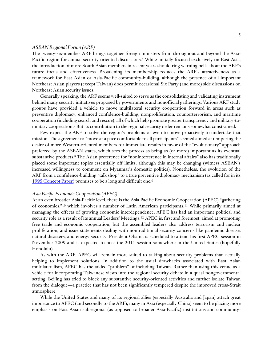#### *ASEAN Regional Forum (ARF)*

The twenty-six-member ARF brings together foreign ministers from throughout and beyond the Asia-Pacific region for annual security-oriented discussions.<sup>6</sup> While initially focused exclusively on East Asia, the introduction of more South Asian members in recent years should ring warning bells about the ARF's future focus and effectiveness. Broadening its membership reduces the ARF's attractiveness as a framework for East Asian or Asia-Pacific community-building, although the presence of all important Northeast Asian players (except Taiwan) does permit occasional Six Party (and more) side discussions on Northeast Asian security issues.

Generally speaking, the ARF seems well-suited to serve as the consolidating and validating instrument behind many security initiatives proposed by governments and nonofficial gatherings. Various ARF study groups have provided a vehicle to move multilateral security cooperation forward in areas such as preventive diplomacy, enhanced confidence-building, nonproliferation, counterterrorism, and maritime cooperation (including search and rescue), all of which help promote greater transparency and military-tomilitary cooperation.<sup>7</sup> But its contribution to the regional security order remains somewhat constrained.

Few expect the ARF to solve the region's problems or even to move proactively to undertake that mission. The agreement to "move at a pace comfortable to all participants" seemed aimed at tempering the desire of more Western-oriented members for immediate results in favor of the "evolutionary" approach preferred by the ASEAN states, which sees the process as being as (or more) important as its eventual substantive products.<sup>8</sup> The Asian preference for "noninterference in internal affairs" also has traditionally placed some important topics essentially off limits, although this may be changing (witness ASEAN's increased willingness to comment on Myanmar's domestic politics). Nonetheless, the evolution of the ARF from a confidence-building "talk shop" to a true preventive diplomacy mechanism (as called for in its [1995 Concept Paper\)](http://www.aseansec.org/3635.htm) promises to be a long and difficult one.<sup>9</sup>

#### *Asia Pacific Economic Cooperation (APEC)*

At an even broader Asia-Pacific level, there is the Asia Pacific Economic Cooperation (APEC) "gathering of economies,"<sup>10</sup> which involves a number of Latin American participants.<sup>11</sup> While primarily aimed at managing the effects of growing economic interdependence, APEC has had an important political and security role as a result of its annual Leaders' Meetings. <sup>12</sup> APEC is, first and foremost, aimed at promoting free trade and economic cooperation, but the assembled leaders also address terrorism and nuclear proliferation, and issue statements dealing with nontraditional security concerns like pandemic disease, natural disasters, and energy security. President Obama is scheduled to attend his first APEC session in November 2009 and is expected to host the 2011 session somewhere in the United States (hopefully Honolulu).

As with the ARF, APEC will remain more suited to talking about security problems than actually helping to implement solutions. In addition to the usual drawbacks associated with East Asian multilateralism, APEC has the added "problem" of including Taiwan. Rather than using this venue as a vehicle for incorporating Taiwanese views into the regional security debate in a quasi nongovernmental setting, Beijing has tried to block any substantive security-oriented activities and further isolate Taiwan from the dialogue—a practice that has not been significantly tempered despite the improved cross-Strait atmosphere.

While the United States and many of its regional allies (especially Australia and Japan) attach great importance to APEC (and secondly to the ARF), many in Asia (especially China) seem to be placing more emphasis on East Asian subregional (as opposed to broader Asia-Pacific) institutions and community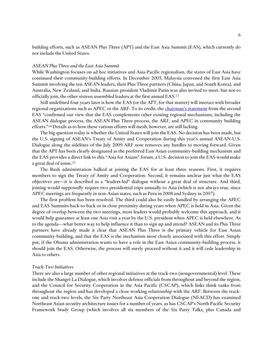building efforts, such as ASEAN Plus Three (APT) and the East Asia Summit (EAS), which currently do not include the United States.

### *ASEAN Plus Three and the East Asia Summit*

While Washington focuses on ad hoc initiatives and Asia-Pacific regionalism, the states of East Asia have continued their community-building efforts. In December 2005, Malaysia convened the first East Asia Summit involving the ten ASEAN leaders, their Plus Three partners (China, Japan, and South Korea), and Australia, New Zealand, and India. Russian president Vladimir Putin was also invited to meet, but not to officially join, the other sixteen assembled leaders at the first annual EAS.<sup>13</sup>

Still undefined four years later is how the EAS (or the APT, for that matter) will interact with broader regional organizations such as APEC or the ARF. To its credit, the c[hairman's](http://www.aseansec.org/19302.htm) statement from the second EAS "confirmed our view that the EAS complements other existing regional mechanisms, including the ASEAN dialogue process, the ASEAN Plus Three process, the ARF, and APEC in community building efforts."<sup>14</sup> Details as to how these various efforts will mesh, however, are still lacking.

The big question today is whether the United States will join the EAS. No decision has been made, but the U.S. signing of ASEAN's Treaty of Amity and Cooperation during this year's annual ASEAN-U.S. Dialogue along the sidelines of the July 2009 ARF now removes any hurdles to moving forward. Given that the APT has been clearly designated as the preferred East Asian community-building mechanism and the EAS provides a direct link to this "Asia for Asians" forum, a U.S. decision to join the EAS would make a great deal of sense.<sup>15</sup>

The Bush administration balked at joining the EAS for at least three reasons. First, it requires members to sign the Treaty of Amity and Cooperation. Second, it remains unclear just what the EAS objectives are—it is described as a "leaders-led" dialogue without a great deal of structure. And third, joining would supposedly require two presidential trips annually to Asia (which is not always true, since APEC meetings are frequently in non-Asian states, such as Peru in 2008 and Sydney in 2007).

The first problem has been resolved. The third could also be easily handled by arranging the APEC and EAS Summits back-to-back or in close proximity during years when APEC is held in Asia. Given the degree of overlap between the two meetings, most leaders would probably welcome this approach, and it would help guarantee at least one Asia visit a year by the U.S. president when APEC is held elsewhere. As to the agenda—what better way to help influence it than to sign up and attend? ASEAN and its Plus Three partners have already made it clear that ASEAN Plus Three is the primary vehicle for East Asian community-building, and that the EAS is the mechanism most closely associated with this effort. Simply put, if the Obama administration wants to have a role in the East Asian community-building process, it should join the EAS. Otherwise, the process will surely proceed without it and it will cede leadership in Asia to others.

#### *Track-Two Initiatives*

There are also a large number of other regional initiatives at the track-two (nongovernmental) level. These include the Shangri-La Dialogue, which involves defense officials from throughout and beyond the region, and the Council for Security Cooperation in the Asia Pacific (CSCAP), which links think tanks from throughout the region and has developed a close working relationship with the ARF. Between the trackone and track-two levels, the Six Party Northeast Asia Cooperation Dialogue (NEACD) has examined Northeast Asian security architecture issues for a number of years, as has CSCAP's North Pacific Security Framework Study Group (which involves all six members of the Six Party Talks, plus Canada and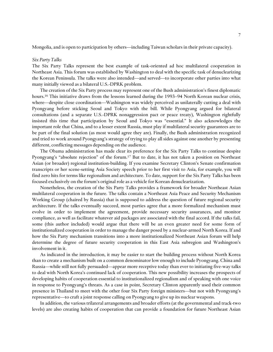Mongolia, and is open to participation by others—including Taiwan scholars in their private capacity).

#### *Six Party Talks*

The Six Party Talks represent the best example of task-oriented ad hoc multilateral cooperation in Northeast Asia. This forum was established by Washington to deal with the specific task of denuclearizing the Korean Peninsula. The talks were also intended—and served—to incorporate other parties into what many initially viewed as a bilateral U.S.-DPRK problem.

The creation of the Six Party process may represent one of the Bush administration's finest diplomatic hours.<sup>16</sup> This initiative draws from the lessons learned during the 1993–94 North Korean nuclear crisis, where—despite close coordination—Washington was widely perceived as unilaterally cutting a deal with Pyongyang before sticking Seoul and Tokyo with the bill. While Pyongyang argued for bilateral consultations (and a separate U.S.-DPRK nonaggression pact or peace treaty), Washington rightfully insisted this time that participation by Seoul and Tokyo was "essential." It also acknowledges the important role that China, and to a lesser extent Russia, must play if multilateral security guarantees are to be part of the final solution (as most would agree they are). Finally, the Bush administration recognized and tried to work around Pyongyang's strategy of trying to play all sides against one another by presenting different, conflicting messages depending on the audience.

The Obama administration has made clear its preference for the Six Party Talks to continue despite Pyongyang's "absolute rejection" of the forum.<sup>17</sup> But to date, it has not taken a position on Northeast Asian (or broader) regional institution-building. If you examine Secretary Clinton's Senate confirmation transcripts or her scene-setting Asia Society speech prior to her first visit to Asia, for example, you will find zero hits for terms like regionalism and architecture. To date, support for the Six Party Talks has been focused exclusively on the forum's original role as a vehicle for Korean denuclearization.

Nonetheless, the creation of the Six Party Talks provides a framework for broader Northeast Asian multilateral cooperation in the future. The talks contain a Northeast Asia Peace and Security Mechanism Working Group (chaired by Russia) that is supposed to address the question of future regional security architecture. If the talks eventually succeed, most parties agree that a more formalized mechanism must evolve in order to implement the agreement, provide necessary security assurances, and monitor compliance, as well as facilitate whatever aid packages are associated with the final accord. If the talks fail, some (this author included) would argue that there will be an even greater need for some form of institutionalized cooperation in order to manage the danger posed by a nuclear-armed North Korea. If and how the Six Party mechanism transitions into a more institutionalized Northeast Asian forum will help determine the degree of future security cooperation in this East Asia subregion and Washington's involvement in it.

As indicated in the introduction, it may be easier to start the building process without North Korea than to create a mechanism built on a common denominator low enough to include Pyongyang. China and Russia—while still not fully persuaded—appear more receptive today than ever to initiating five-way talks to deal with North Korea's continued lack of cooperation. This new possibility increases the prospects of developing habits of cooperation essential to institutionalized regionalism and of speaking with one voice in response to Pyongyang's threats. As a case in point, Secretary Clinton apparently used their common presence in Thailand to meet with the other four Six Party foreign ministers—but not with Pyongyang's representative—to craft a joint response calling on Pyongyang to give up its nuclear weapons.

In addition, the various trilateral arrangements and broader efforts (at the governmental and track-two levels) are also creating habits of cooperation that can provide a foundation for future Northeast Asian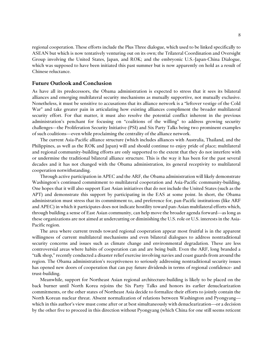regional cooperation. These efforts include the Plus Three dialogue, which used to be linked specifically to ASEAN but which is now tentatively venturing out on its own; the Trilateral Coordination and Oversight Group involving the United States, Japan, and ROK; and the embryonic U.S.-Japan-China Dialogue, which was supposed to have been initiated this past summer but is now apparently on hold as a result of Chinese reluctance.

## **Future Outlook and Conclusion**

As have all its predecessors, the Obama administration is expected to stress that it sees its bilateral alliances and emerging multilateral security mechanisms as mutually supportive, not mutually exclusive. Nonetheless, it must be sensitive to accusations that its alliance network is a "leftover vestige of the Cold War" and take greater pain in articulating how existing alliances compliment the broader multilateral security effort. For that matter, it must also resolve the potential conflict inherent in the previous administration's penchant for focusing on "coalitions of the willing" to address growing security challenges—the Proliferation Security Initiative (PSI) and Six Party Talks being two prominent examples of such coalitions—even while proclaiming the centrality of the alliance network.

The current Asia-Pacific alliance structure (which includes alliances with Australia, Thailand, and the Philippines, as well as the ROK and Japan) will and should continue to enjoy pride of place; multilateral and regional community-building efforts are only supported to the extent that they do not interfere with or undermine the traditional bilateral alliance structure. This is the way it has been for the past several decades and it has not changed with the Obama administration, its general receptivity to multilateral cooperation notwithstanding.

Through active participation in APEC and the ARF, the Obama administration will likely demonstrate Washington's continued commitment to multilateral cooperation and Asia-Pacific community-building. One hopes that it will also support East Asian initiatives that do not include the United States (such as the APT) and demonstrate this support by participating in the EAS at some point. In short, the Obama administration must stress that its commitment to, and preference for, pan-Pacific institutions (like ARF and APEC) in which it participates does not indicate hostility toward pan-Asian multilateral efforts which, through building a sense of East Asian community, can help move the broader agenda forward—as long as these organizations are not aimed at undercutting or diminishing the U.S. role or U.S. interests in the Asia-Pacific region.

The area where current trends toward regional cooperation appear most fruitful is in the apparent willingness of current multilateral mechanisms and even bilateral dialogues to address nontraditional security concerns and issues such as climate change and environmental degradation. These are less controversial areas where habits of cooperation can and are being built. Even the ARF, long branded a ―talk shop,‖ recently conducted a disaster relief exercise involving navies and coast guards from around the region. The Obama administration's receptiveness to seriously addressing nontraditional security issues has opened new doors of cooperation that can pay future dividends in terms of regional confidence- and trust-building.

Meanwhile, support for Northeast Asian regional architecture-building is likely to be placed on the back burner until North Korea rejoins the Six Party Talks and honors its earlier denuclearization commitments, or the other states of Northeast Asia decide to formalize their efforts to jointly contain the North Korean nuclear threat. Absent normalization of relations between Washington and Pyongyang which in this author's view must come after or at best simultaneously with denuclearization—or a decision by the other five to proceed in this direction without Pyongyang (which China for one still seems reticent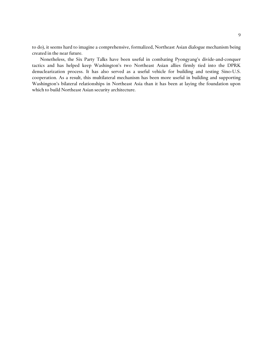to do), it seems hard to imagine a comprehensive, formalized, Northeast Asian dialogue mechanism being created in the near future.

Nonetheless, the Six Party Talks have been useful in combating Pyongyang's divide-and-conquer tactics and has helped keep Washington's two Northeast Asian allies firmly tied into the DPRK denuclearization process. It has also served as a useful vehicle for building and testing Sino-U.S. cooperation. As a result, this multilateral mechanism has been more useful in building and supporting Washington's bilateral relationships in Northeast Asia than it has been at laying the foundation upon which to build Northeast Asian security architecture.